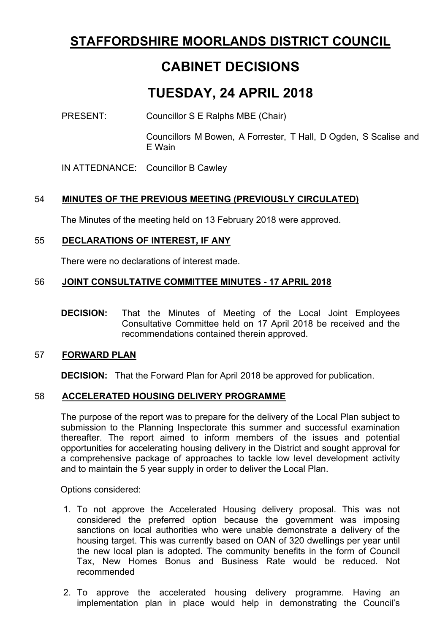# **STAFFORDSHIRE MOORLANDS DISTRICT COUNCIL**

# **CABINET DECISIONS**

# **TUESDAY, 24 APRIL 2018**

PRESENT: Councillor S E Ralphs MBE (Chair)

Councillors M Bowen, A Forrester, T Hall, D Ogden, S Scalise and E Wain

IN ATTEDNANCE: Councillor B Cawley

# 54 **MINUTES OF THE PREVIOUS MEETING (PREVIOUSLY CIRCULATED)**

The Minutes of the meeting held on 13 February 2018 were approved.

# 55 **DECLARATIONS OF INTEREST, IF ANY**

There were no declarations of interest made.

# 56 **JOINT CONSULTATIVE COMMITTEE MINUTES - 17 APRIL 2018**

**DECISION:** That the Minutes of Meeting of the Local Joint Employees Consultative Committee held on 17 April 2018 be received and the recommendations contained therein approved.

## 57 **FORWARD PLAN**

**DECISION:** That the Forward Plan for April 2018 be approved for publication.

## 58 **ACCELERATED HOUSING DELIVERY PROGRAMME**

The purpose of the report was to prepare for the delivery of the Local Plan subject to submission to the Planning Inspectorate this summer and successful examination thereafter. The report aimed to inform members of the issues and potential opportunities for accelerating housing delivery in the District and sought approval for a comprehensive package of approaches to tackle low level development activity and to maintain the 5 year supply in order to deliver the Local Plan.

Options considered:

- 1. To not approve the Accelerated Housing delivery proposal. This was not considered the preferred option because the government was imposing sanctions on local authorities who were unable demonstrate a delivery of the housing target. This was currently based on OAN of 320 dwellings per year until the new local plan is adopted. The community benefits in the form of Council Tax, New Homes Bonus and Business Rate would be reduced. Not recommended
- 2. To approve the accelerated housing delivery programme. Having an implementation plan in place would help in demonstrating the Council's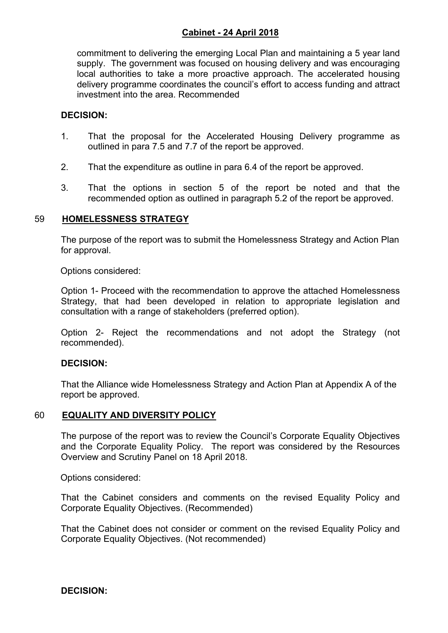# **Cabinet - 24 April 2018**

commitment to delivering the emerging Local Plan and maintaining a 5 year land supply. The government was focused on housing delivery and was encouraging local authorities to take a more proactive approach. The accelerated housing delivery programme coordinates the council's effort to access funding and attract investment into the area. Recommended

## **DECISION:**

- 1. That the proposal for the Accelerated Housing Delivery programme as outlined in para 7.5 and 7.7 of the report be approved.
- 2. That the expenditure as outline in para 6.4 of the report be approved.
- 3. That the options in section 5 of the report be noted and that the recommended option as outlined in paragraph 5.2 of the report be approved.

#### 59 **HOMELESSNESS STRATEGY**

The purpose of the report was to submit the Homelessness Strategy and Action Plan for approval.

Options considered:

Option 1- Proceed with the recommendation to approve the attached Homelessness Strategy, that had been developed in relation to appropriate legislation and consultation with a range of stakeholders (preferred option).

Option 2- Reject the recommendations and not adopt the Strategy (not recommended).

#### **DECISION:**

That the Alliance wide Homelessness Strategy and Action Plan at Appendix A of the report be approved.

#### 60 **EQUALITY AND DIVERSITY POLICY**

The purpose of the report was to review the Council's Corporate Equality Objectives and the Corporate Equality Policy. The report was considered by the Resources Overview and Scrutiny Panel on 18 April 2018.

Options considered:

That the Cabinet considers and comments on the revised Equality Policy and Corporate Equality Objectives. (Recommended)

That the Cabinet does not consider or comment on the revised Equality Policy and Corporate Equality Objectives. (Not recommended)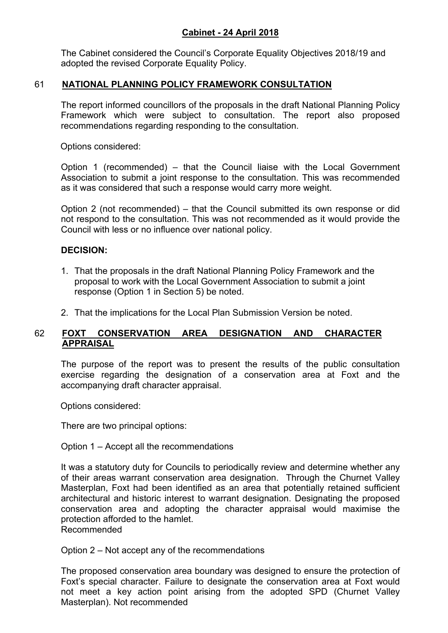# **Cabinet - 24 April 2018**

The Cabinet considered the Council's Corporate Equality Objectives 2018/19 and adopted the revised Corporate Equality Policy.

## 61 **NATIONAL PLANNING POLICY FRAMEWORK CONSULTATION**

The report informed councillors of the proposals in the draft National Planning Policy Framework which were subject to consultation. The report also proposed recommendations regarding responding to the consultation.

Options considered:

Option 1 (recommended) – that the Council liaise with the Local Government Association to submit a joint response to the consultation. This was recommended as it was considered that such a response would carry more weight.

Option 2 (not recommended) – that the Council submitted its own response or did not respond to the consultation. This was not recommended as it would provide the Council with less or no influence over national policy.

## **DECISION:**

- 1. That the proposals in the draft National Planning Policy Framework and the proposal to work with the Local Government Association to submit a joint response (Option 1 in Section 5) be noted.
- 2. That the implications for the Local Plan Submission Version be noted.

## 62 **FOXT CONSERVATION AREA DESIGNATION AND CHARACTER APPRAISAL**

The purpose of the report was to present the results of the public consultation exercise regarding the designation of a conservation area at Foxt and the accompanying draft character appraisal.

Options considered:

There are two principal options:

Option 1 – Accept all the recommendations

It was a statutory duty for Councils to periodically review and determine whether any of their areas warrant conservation area designation. Through the Churnet Valley Masterplan, Foxt had been identified as an area that potentially retained sufficient architectural and historic interest to warrant designation. Designating the proposed conservation area and adopting the character appraisal would maximise the protection afforded to the hamlet. Recommended

Option 2 – Not accept any of the recommendations

The proposed conservation area boundary was designed to ensure the protection of Foxt's special character. Failure to designate the conservation area at Foxt would not meet a key action point arising from the adopted SPD (Churnet Valley Masterplan). Not recommended